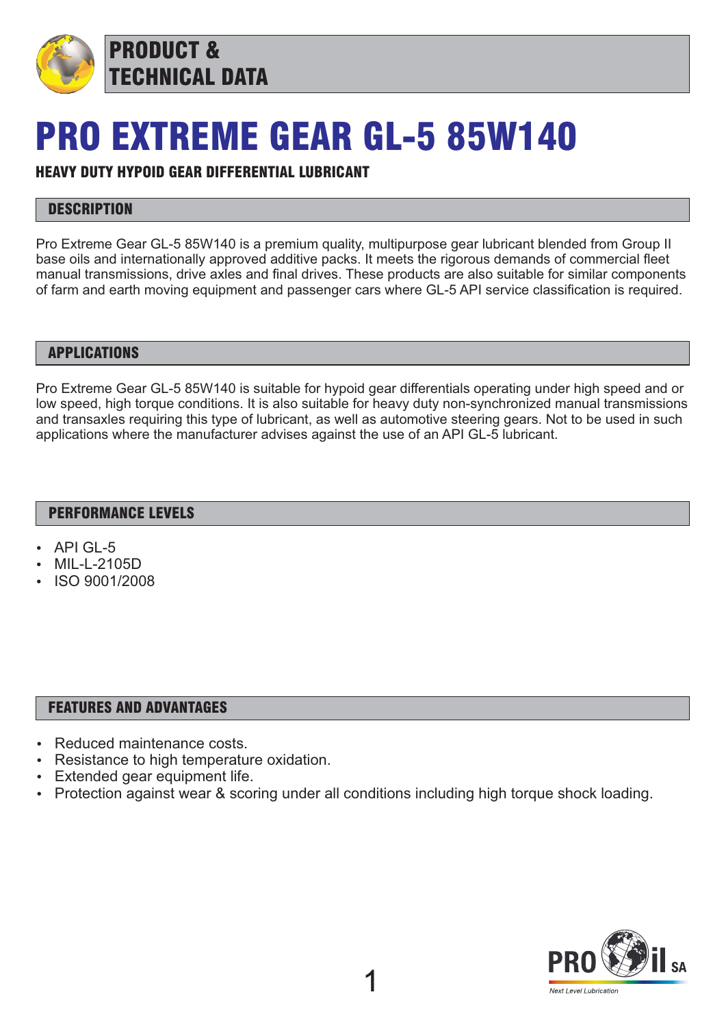

# PRO EXTREME GEAR GL-5 85W140

## HEAVY DUTY HYPOID GEAR DIFFERENTIAL LUBRICANT

## **DESCRIPTION**

Pro Extreme Gear GL-5 85W140 is a premium quality, multipurpose gear lubricant blended from Group II base oils and internationally approved additive packs. It meets the rigorous demands of commercial fleet manual transmissions, drive axles and final drives. These products are also suitable for similar components of farm and earth moving equipment and passenger cars where GL-5 API service classification is required.

#### APPLICATIONS

Pro Extreme Gear GL-5 85W140 is suitable for hypoid gear differentials operating under high speed and or low speed, high torque conditions. It is also suitable for heavy duty non-synchronized manual transmissions and transaxles requiring this type of lubricant, as well as automotive steering gears. Not to be used in such applications where the manufacturer advises against the use of an API GL-5 lubricant.

#### PERFORMANCE LEVELS

- API GL-5
- MIL-L-2105D
- ISO 9001/2008

#### FEATURES AND ADVANTAGES

- Reduced maintenance costs.
- Resistance to high temperature oxidation.
- Extended gear equipment life.
- Protection against wear & scoring under all conditions including high torque shock loading.

1